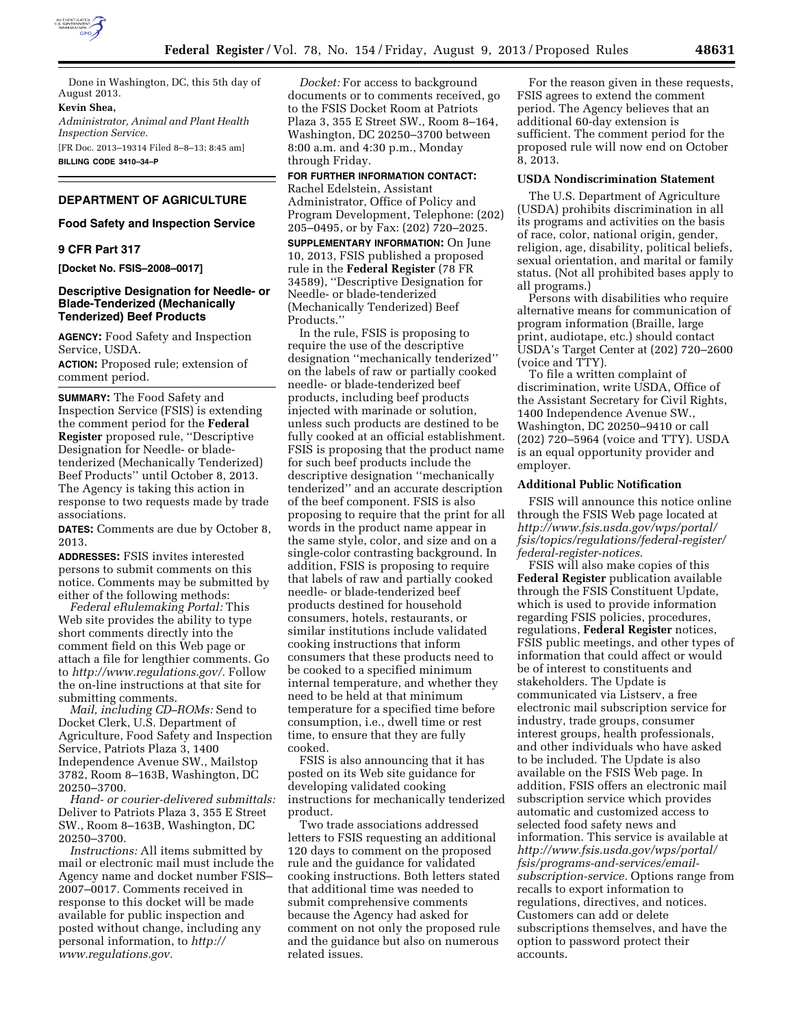

Done in Washington, DC, this 5th day of August 2013.

# **Kevin Shea,**

*Administrator, Animal and Plant Health Inspection Service.*  [FR Doc. 2013–19314 Filed 8–8–13; 8:45 am] **BILLING CODE 3410–34–P** 

## **DEPARTMENT OF AGRICULTURE**

# **Food Safety and Inspection Service**

#### **9 CFR Part 317**

**[Docket No. FSIS–2008–0017]** 

#### **Descriptive Designation for Needle- or Blade-Tenderized (Mechanically Tenderized) Beef Products**

**AGENCY:** Food Safety and Inspection Service, USDA.

**ACTION:** Proposed rule; extension of comment period.

**SUMMARY:** The Food Safety and Inspection Service (FSIS) is extending the comment period for the **Federal Register** proposed rule, ''Descriptive Designation for Needle- or bladetenderized (Mechanically Tenderized) Beef Products'' until October 8, 2013. The Agency is taking this action in response to two requests made by trade associations.

**DATES:** Comments are due by October 8, 2013.

**ADDRESSES:** FSIS invites interested persons to submit comments on this notice. Comments may be submitted by either of the following methods:

*Federal eRulemaking Portal:* This Web site provides the ability to type short comments directly into the comment field on this Web page or attach a file for lengthier comments. Go to *[http://www.regulations.gov/.](http://www.regulations.gov/)* Follow the on-line instructions at that site for submitting comments.

*Mail, including CD–ROMs:* Send to Docket Clerk, U.S. Department of Agriculture, Food Safety and Inspection Service, Patriots Plaza 3, 1400 Independence Avenue SW., Mailstop 3782, Room 8–163B, Washington, DC 20250–3700.

*Hand- or courier-delivered submittals:*  Deliver to Patriots Plaza 3, 355 E Street SW., Room 8–163B, Washington, DC 20250–3700.

*Instructions:* All items submitted by mail or electronic mail must include the Agency name and docket number FSIS– 2007–0017. Comments received in response to this docket will be made available for public inspection and posted without change, including any personal information, to *[http://](http://www.regulations.gov)  [www.regulations.gov.](http://www.regulations.gov)* 

*Docket:* For access to background documents or to comments received, go to the FSIS Docket Room at Patriots Plaza 3, 355 E Street SW., Room 8–164, Washington, DC 20250–3700 between 8:00 a.m. and 4:30 p.m., Monday through Friday.

**FOR FURTHER INFORMATION CONTACT:**  Rachel Edelstein, Assistant Administrator, Office of Policy and Program Development, Telephone: (202) 205–0495, or by Fax: (202) 720–2025.

**SUPPLEMENTARY INFORMATION:** On June 10, 2013, FSIS published a proposed rule in the **Federal Register** (78 FR 34589), ''Descriptive Designation for Needle- or blade-tenderized (Mechanically Tenderized) Beef Products.''

In the rule, FSIS is proposing to require the use of the descriptive designation ''mechanically tenderized'' on the labels of raw or partially cooked needle- or blade-tenderized beef products, including beef products injected with marinade or solution, unless such products are destined to be fully cooked at an official establishment. FSIS is proposing that the product name for such beef products include the descriptive designation ''mechanically tenderized'' and an accurate description of the beef component. FSIS is also proposing to require that the print for all words in the product name appear in the same style, color, and size and on a single-color contrasting background. In addition, FSIS is proposing to require that labels of raw and partially cooked needle- or blade-tenderized beef products destined for household consumers, hotels, restaurants, or similar institutions include validated cooking instructions that inform consumers that these products need to be cooked to a specified minimum internal temperature, and whether they need to be held at that minimum temperature for a specified time before consumption, i.e., dwell time or rest time, to ensure that they are fully cooked.

FSIS is also announcing that it has posted on its Web site guidance for developing validated cooking instructions for mechanically tenderized product.

Two trade associations addressed letters to FSIS requesting an additional 120 days to comment on the proposed rule and the guidance for validated cooking instructions. Both letters stated that additional time was needed to submit comprehensive comments because the Agency had asked for comment on not only the proposed rule and the guidance but also on numerous related issues.

For the reason given in these requests, FSIS agrees to extend the comment period. The Agency believes that an additional 60-day extension is sufficient. The comment period for the proposed rule will now end on October 8, 2013.

# **USDA Nondiscrimination Statement**

The U.S. Department of Agriculture (USDA) prohibits discrimination in all its programs and activities on the basis of race, color, national origin, gender, religion, age, disability, political beliefs, sexual orientation, and marital or family status. (Not all prohibited bases apply to all programs.)

Persons with disabilities who require alternative means for communication of program information (Braille, large print, audiotape, etc.) should contact USDA's Target Center at (202) 720–2600 (voice and TTY).

To file a written complaint of discrimination, write USDA, Office of the Assistant Secretary for Civil Rights, 1400 Independence Avenue SW., Washington, DC 20250–9410 or call (202) 720–5964 (voice and TTY). USDA is an equal opportunity provider and employer.

#### **Additional Public Notification**

FSIS will announce this notice online through the FSIS Web page located at *[http://www.fsis.usda.gov/wps/portal/](http://www.fsis.usda.gov/wps/portal/fsis/topics/regulations/federal-register/federal-register-notices) [fsis/topics/regulations/federal-register/](http://www.fsis.usda.gov/wps/portal/fsis/topics/regulations/federal-register/federal-register-notices) [federal-register-notices.](http://www.fsis.usda.gov/wps/portal/fsis/topics/regulations/federal-register/federal-register-notices)* 

FSIS will also make copies of this **Federal Register** publication available through the FSIS Constituent Update, which is used to provide information regarding FSIS policies, procedures, regulations, **Federal Register** notices, FSIS public meetings, and other types of information that could affect or would be of interest to constituents and stakeholders. The Update is communicated via Listserv, a free electronic mail subscription service for industry, trade groups, consumer interest groups, health professionals, and other individuals who have asked to be included. The Update is also available on the FSIS Web page. In addition, FSIS offers an electronic mail subscription service which provides automatic and customized access to selected food safety news and information. This service is available at *[http://www.fsis.usda.gov/wps/portal/](http://www.fsis.usda.gov/wps/portal/fsis/programs-and-services/email-subscription-service) [fsis/programs-and-services/email](http://www.fsis.usda.gov/wps/portal/fsis/programs-and-services/email-subscription-service)[subscription-service.](http://www.fsis.usda.gov/wps/portal/fsis/programs-and-services/email-subscription-service)* Options range from recalls to export information to regulations, directives, and notices. Customers can add or delete subscriptions themselves, and have the option to password protect their accounts.